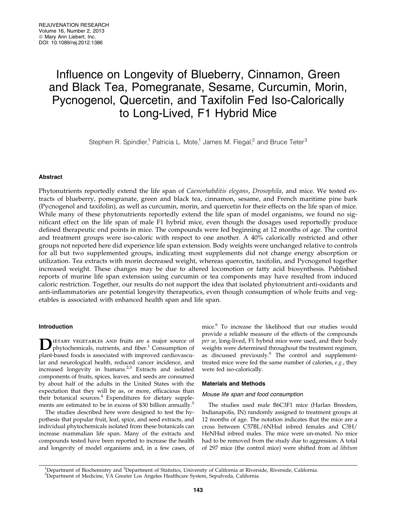# Influence on Longevity of Blueberry, Cinnamon, Green and Black Tea, Pomegranate, Sesame, Curcumin, Morin, Pycnogenol, Quercetin, and Taxifolin Fed Iso-Calorically to Long-Lived, F1 Hybrid Mice

Stephen R. Spindler,<sup>1</sup> Patricia L. Mote,<sup>1</sup> James M. Flegal,<sup>2</sup> and Bruce Teter<sup>3</sup>

# Abstract

Phytonutrients reportedly extend the life span of Caenorhabditis elegans, Drosophila, and mice. We tested extracts of blueberry, pomegranate, green and black tea, cinnamon, sesame, and French maritime pine bark (Pycnogenol and taxifolin), as well as curcumin, morin, and quercetin for their effects on the life span of mice. While many of these phytonutrients reportedly extend the life span of model organisms, we found no significant effect on the life span of male F1 hybrid mice, even though the dosages used reportedly produce defined therapeutic end points in mice. The compounds were fed beginning at 12 months of age. The control and treatment groups were iso-caloric with respect to one another. A 40% calorically restricted and other groups not reported here did experience life span extension. Body weights were unchanged relative to controls for all but two supplemented groups, indicating most supplements did not change energy absorption or utilization. Tea extracts with morin decreased weight, whereas quercetin, taxifolin, and Pycnogenol together increased weight. These changes may be due to altered locomotion or fatty acid biosynthesis. Published reports of murine life span extension using curcumin or tea components may have resulted from induced caloric restriction. Together, our results do not support the idea that isolated phytonutrient anti-oxidants and anti-inflammatories are potential longevity therapeutics, even though consumption of whole fruits and vegetables is associated with enhanced health span and life span.

# Introduction

IETARY VEGETABLES AND fruits are a major source of phytochemicals, nutrients, and fiber. $\frac{1}{1}$  Consumption of plant-based foods is associated with improved cardiovascular and neurological health, reduced cancer incidence, and increased longevity in humans.<sup>2,3</sup> Extracts and isolated components of fruits, spices, leaves, and seeds are consumed by about half of the adults in the United States with the expectation that they will be as, or more, efficacious than their botanical sources.<sup>4</sup> Expenditures for dietary supplements are estimated to be in excess of \$30 billion annually. $5$ 

The studies described here were designed to test the hypothesis that popular fruit, leaf, spice, and seed extracts, and individual phytochemicals isolated from these botanicals can increase mammalian life span. Many of the extracts and compounds tested have been reported to increase the health and longevity of model organisms and, in a few cases, of mice.6 To increase the likelihood that our studies would provide a reliable measure of the effects of the compounds per se, long-lived, F1 hybrid mice were used, and their body weights were determined throughout the treatment regimen, as discussed previously.<sup>6</sup> The control and supplementtreated mice were fed the same number of calories, e.g., they were fed iso-calorically.

#### Materials and Methods

#### Mouse life span and food consumption

The studies used male B6C3F1 mice (Harlan Breeders, Indianapolis, IN) randomly assigned to treatment groups at 12 months of age. The notation indicates that the mice are a cross between C57BL/6NHsd inbred females and C3H/ HeNHsd inbred males. The mice were un-mated. No mice had to be removed from the study due to aggression. A total of 297 mice (the control mice) were shifted from ad libitum

<sup>&</sup>lt;sup>1</sup>Department of Biochemistry and <sup>2</sup>Department of Statistics, University of California at Riverside, Riverside, California.<br><sup>3</sup>Department of Medicine, VA Creater Los Angeles Healthcare System, Sepulyeda, California. Department of Medicine, VA Greater Los Angeles Healthcare System, Sepulveda, California.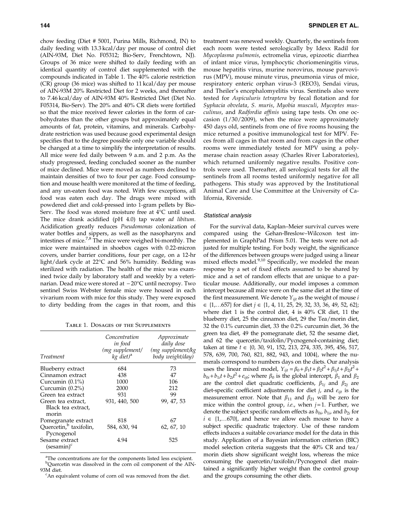chow feeding (Diet # 5001, Purina Mills, Richmond, IN) to daily feeding with 13.3 kcal/day per mouse of control diet (AIN-93M, Diet No. F05312; Bio-Serv, Frenchtown, NJ). Groups of 36 mice were shifted to daily feeding with an identical quantity of control diet supplemented with the compounds indicated in Table 1. The 40% calorie restriction (CR) group (36 mice) was shifted to 11 kcal/day per mouse of AIN-93M 20% Restricted Diet for 2 weeks, and thereafter to 7.46 kcal/day of AIN-93M 40% Restricted Diet (Diet No. F05314, Bio-Serv). The 20% and 40% CR diets were fortified so that the mice received fewer calories in the form of carbohydrates than the other groups but approximately equal amounts of fat, protein, vitamins, and minerals. Carbohydrate restriction was used because good experimental design specifies that to the degree possible only one variable should be changed at a time to simplify the interpretation of results. All mice were fed daily between 9 a.m. and 2 p.m. As the study progressed, feeding concluded sooner as the number of mice declined. Mice were moved as numbers declined to maintain densities of two to four per cage. Food consumption and mouse health were monitored at the time of feeding, and any un-eaten food was noted. With few exceptions, all food was eaten each day. The drugs were mixed with powdered diet and cold-pressed into 1-gram pellets by Bio-Serv. The food was stored moisture free at  $4^{\circ}C$  until used. The mice drank acidified (pH 4.0) tap water ad libitum. Acidification greatly reduces Pseudomonas colonization of water bottles and sippers, as well as the nasopharynx and intestines of mice.<sup>7,8</sup> The mice were weighed bi-monthly. The mice were maintained in shoebox cages with 0.22-micron covers, under barrier conditions, four per cage, on a 12-hr light/dark cycle at 22-C and 56% humidity. Bedding was sterilized with radiation. The health of the mice was examined twice daily by laboratory staff and weekly by a veterinarian. Dead mice were stored at –20°C until necropsy. Two sentinel Swiss Webster female mice were housed in each vivarium room with mice for this study. They were exposed to dirty bedding from the cages in that room, and this

Table 1. Dosages of the Supplements

| <i>Treatment</i>                                  | Concentration<br>in food<br>(mg supplement/<br>kg diet) <sup>a</sup> | Approximate<br>daily dose<br>(mg supplement/kg<br>body weight/day) |  |  |  |  |  |
|---------------------------------------------------|----------------------------------------------------------------------|--------------------------------------------------------------------|--|--|--|--|--|
| Blueberry extract                                 | 684                                                                  | 73                                                                 |  |  |  |  |  |
| Cinnamon extract                                  | 438                                                                  | 47                                                                 |  |  |  |  |  |
| Curcumin $(0.1\%)$                                | 1000                                                                 | 106                                                                |  |  |  |  |  |
| Curcumin $(0.2\%)$                                | 2000                                                                 | 212                                                                |  |  |  |  |  |
| Green tea extract                                 | 931                                                                  | 99                                                                 |  |  |  |  |  |
| Green tea extract,<br>Black tea extract,<br>morin | 931, 440, 500                                                        | 99, 47, 53                                                         |  |  |  |  |  |
| Pomegranate extract                               | 818                                                                  | 67                                                                 |  |  |  |  |  |
| Quercetin, <sup>b</sup> taxifolin,<br>Pycnogenol  | 584, 630, 94                                                         | 62, 67, 10                                                         |  |  |  |  |  |
| Sesame extract<br>$(sesamin)^c$                   | 4.94                                                                 | 525                                                                |  |  |  |  |  |

<sup>a</sup>The concentrations are for the components listed less excipient. <sup>b</sup>Quercetin was dissolved in the corn oil component of the AIN-93M diet.

An equivalent volume of corn oil was removed from the diet.

treatment was renewed weekly. Quarterly, the sentinels from each room were tested serologically by Idexx Radil for Mycoplasma pulmonis, ectromelia virus, epizootic diarrhea of infant mice virus, lymphocytic choriomeningitis virus, mouse hepatitis virus, murine norovirus, mouse parvovirus (MPV), mouse minute virus, pneumonia virus of mice, respiratory enteric orphan virus-3 (REO3), Sendai virus, and Theiler's encephalomyelitis virus. Sentinels also were tested for Aspiculuris tetraptera by fecal flotation and for Syphacia obvelata, S. muris, Myobia musculi, Mycoptes musculinus, and Radfordia affinis using tape tests. On one occasion (1/30/2009), when the mice were approximately 450 days old, sentinels from one of five rooms housing the mice returned a positive immunological test for MPV. Feces from all cages in that room and from cages in the other rooms were immediately tested for MPV using a polymerase chain reaction assay (Charles River Laboratories), which returned uniformly negative results. Positive controls were used. Thereafter, all serological tests for all the sentinels from all rooms tested uniformly negative for all pathogens. This study was approved by the Institutional Animal Care and Use Committee at the University of California, Riverside.

### Statistical analysis

For the survival data, Kaplan–Meier survival curves were compared using the Gehan-Breslow–Wilcoxon test implemented in GraphPad Prism 5.01. The tests were not adjusted for multiple testing. For body weight, the significance of the differences between groups were judged using a linear mixed effects model.<sup>9,10</sup> Specifically, we modeled the mean response by a set of fixed effects assumed to be shared by mice and a set of random effects that are unique to a particular mouse. Additionally, our model imposes a common intercept because all mice were on the same diet at the time of the first measurement. We denote  $Y_{i}$  as the weight of mouse i  $\in \{1, \ldots 657\}$  for diet  $j \in \{1, 4, 11, 25, 29, 32, 33, 36, 49, 52, 62\};$ where diet 1 is the control diet, 4 is 40% CR diet, 11 the blueberry diet, 25 the cinnamon diet, 29 the Tea/morin diet, 32 the 0.1% curcumin diet, 33 the 0.2% curcumin diet, 36 the green tea diet, 49 the pomegranate diet, 52 the sesame diet, and 62 the quercetin/taxifolin/Pycnogenol-containing diet; taken at time  $t \in \{0, 30, 91, 152, 213, 274, 335, 395, 456, 517,$ 578, 639, 700, 760, 821, 882, 943, and 1004}, where the numerals correspond to numbers days on the diets. Our analysis uses the linear mixed model,  $Y_{ijt} = \beta_0 + \beta_1 t + \beta_2 t^2 + \beta_{1j} t + \beta_{2j} t^2 +$  $b_{0i} + b_{1i}t + b_{2i}t^2 + e_{ijt}$ ; where  $\beta_0$  is the global intercept,  $\beta_1$  and  $\beta_2$ are the control diet quadratic coefficients,  $\beta_{1j}$  and  $\beta_{2j}$  are diet-specific coefficient adjustments for diet  $j$ , and  $e_{ijt}$  is the measurement error. Note that  $\beta_{11}$  and  $\beta_{21}$  will be zero for mice within the control group, *i.e.*, when  $j = 1$ . Further, we denote the subject specific random effects as  $b_{0i}$ ,  $b_{1i}$ , and  $b_{2i}$  for  $i \in \{1,...670\}$ , and hence we allow each mouse to have a subject specific quadratic trajectory. Use of these random effects induces a suitable covariance model for the data in this study. Application of a Bayesian information criterion (BIC) model selection criteria suggests that the 40% CR and tea/ morin diets show significant weight loss, whereas the mice consuming the quercetin/taxifolin/Pycnogenol diet maintained a significantly higher weight than the control group and the groups consuming the other diets.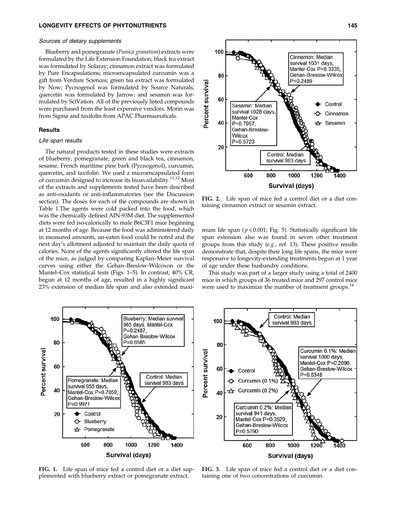### LONGEVITY EFFECTS OF PHYTONUTRIENTS 145

#### Sources of dietary supplements

Blueberry and pomegranate (Punica granatum) extracts were formulated by the Life Extension Foundation; black tea extract was formulated by Solaray; cinnamon extract was formulated by Pure Encapsulations; microencapsulated curcumin was a gift from Verdure Sciences; green tea extract was formulated by Now; Pycnogenol was formulated by Source Naturals; quercetin was formulated by Jarrow; and sesamin was formulated by SciVation. All of the previously listed compounds were purchased from the least expensive vendors. Morin was from Sigma and taxifolin from APAC Pharmaceuticals.

# **Results**

# Life span results

The natural products tested in these studies were extracts of blueberry, pomegranate, green and black tea, cinnamon, sesame, French maritime pine bark (Pycnogenol), curcumin, quercetin, and taxifolin. We used a microencapsulated form of curcumin designed to increase its bioavailability.<sup>11,12</sup> Most of the extracts and supplements tested have been described as anti-oxidants or anti-inflammatories (see the Discussion section). The doses for each of the compounds are shown in Table 1.The agents were cold packed into the food, which was the chemically defined AIN-93M diet. The supplemented diets were fed iso-calorically to male B6C3F1 mice beginning at 12 months of age. Because the food was administered daily in measured amounts, un-eaten food could be noted and the next day's allotment adjusted to maintain the daily quota of calories. None of the agents significantly altered the life span of the mice, as judged by comparing Kaplan–Meier survival curves using either the Gehan–Breslow-Wilcoxon or the Mantel–Cox statistical tests (Figs. 1–5). In contrast, 40% CR, begun at 12 months of age, resulted in a highly significant 23% extension of median life span and also extended maxi-



FIG. 2. Life span of mice fed a control diet or a diet containing cinnamon extract or sesamin extract.

mum life span ( $p < 0.001$ ; Fig. 5). Statistically significant life span extension also was found in seven other treatment groups from this study (e.g., ref. 13). These positive results demonstrate that, despite their long life spans, the mice were responsive to longevity-extending treatments begun at 1 year of age under these husbandry conditions.

This study was part of a larger study using a total of 2400 mice in which groups of 36 treated mice and 297 control mice were used to maximize the number of treatment groups.<sup>14</sup>



Control: Median 100 survival 983 days 80 Curcumin 0.1%: Median Percent survival survival 1000 days, Mantel-Cox P=0.2096. 60 Gehan-Breslow-Wilcox Control  $P = 0.6348$ Curcumin (0.1%) Curcumin (0.2%) 40 ☎ Curcumin 0.2%: Median survival 941 days, 20 Mantel-Cox P=0.3529, Gehan-Breslow-Wilcox  $P = 0.5790$ 800 1000 600  $1200$ 1400 Survival (days)

FIG. 1. Life span of mice fed a control diet or a diet supplemented with blueberry extract or pomegranate extract.

FIG. 3. Life span of mice fed a control diet or a diet containing one of two concentrations of curcumin.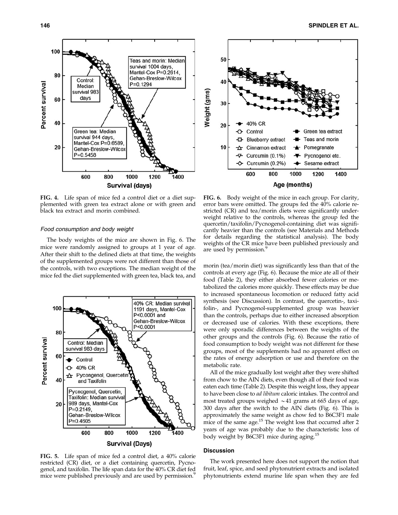

FIG. 4. Life span of mice fed a control diet or a diet supplemented with green tea extract alone or with green and black tea extract and morin combined.

# Food consumption and body weight

The body weights of the mice are shown in Fig. 6. The mice were randomly assigned to groups at 1 year of age. After their shift to the defined diets at that time, the weights of the supplemented groups were not different than those of the controls, with two exceptions. The median weight of the mice fed the diet supplemented with green tea, black tea, and



FIG. 5. Life span of mice fed a control diet, a 40% calorie restricted (CR) diet, or a diet containing quercetin, Pycnogenol, and taxifolin. The life span data for the 40% CR diet fed mice were published previously and are used by permission.<sup>5</sup>



FIG. 6. Body weight of the mice in each group. For clarity, error bars were omitted. The groups fed the 40% calorie restricted (CR) and tea/morin diets were significantly underweight relative to the controls, whereas the group fed the quercetin/taxifolin/Pycnogenol-containing diet was significantly heavier than the controls (see Materials and Methods for details regarding the statistical analysis). The body weights of the CR mice have been published previously and are used by permission.<sup>9</sup>

morin (tea/morin diet) was significantly less than that of the controls at every age (Fig. 6). Because the mice ate all of their food (Table 2), they either absorbed fewer calories or metabolized the calories more quickly. These effects may be due to increased spontaneous locomotion or reduced fatty acid synthesis (see Discussion). In contrast, the quercetin-, taxifolin-, and Pycnogenol-supplemented group was heavier than the controls, perhaps due to either increased absorption or decreased use of calories. With these exceptions, there were only sporadic differences between the weights of the other groups and the controls (Fig. 6). Because the ratio of food consumption to body weight was not different for these groups, most of the supplements had no apparent effect on the rates of energy adsorption or use and therefore on the metabolic rate.

All of the mice gradually lost weight after they were shifted from chow to the AIN diets, even though all of their food was eaten each time (Table 2). Despite this weight loss, they appear to have been close to ad libitum caloric intakes. The control and most treated groups weighed  $\sim$  41 grams at 665 days of age, 300 days after the switch to the AIN diets (Fig. 6). This is approximately the same weight as chow fed to B6C3F1 male mice of the same age.<sup>15</sup> The weight loss that occurred after 2 years of age was probably due to the characteristic loss of body weight by B6C3F1 mice during aging.<sup>15</sup>

#### **Discussion**

The work presented here does not support the notion that fruit, leaf, spice, and seed phytonutrient extracts and isolated phytonutrients extend murine life span when they are fed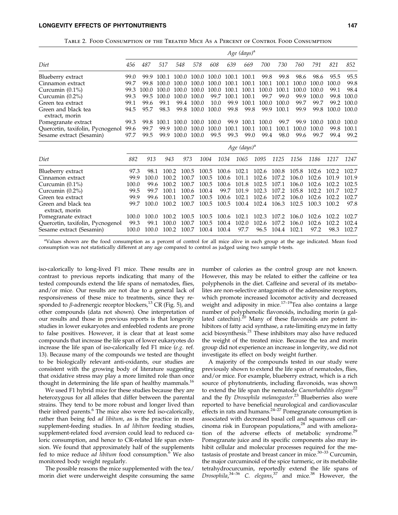Table 2. Food Consumption of the Treated Mice As a Percent of Control Food Consumption

|                                       | Age $(days)^a$ |        |       |       |       |       |       |                                           |       |       |       |       |       |       |
|---------------------------------------|----------------|--------|-------|-------|-------|-------|-------|-------------------------------------------|-------|-------|-------|-------|-------|-------|
| Diet                                  | 456            | 487    | 517   | 548   | 578   | 608   | 639   | 669                                       | 700   | 730   | 760   | 791   | 821   | 852   |
| Blueberry extract                     | 99.0           | 99.9   | 100.1 | 100.0 | 100.0 | 100.0 | 100.1 | 100.1                                     | 99.8  | 99.8  | 98.6  | 98.6  | 95.5  | 95.5  |
| Cinnamon extract                      | 99.7           | 99.8   | 100.0 | 100.0 | 100.0 | 100.0 | 100.1 | 100.1                                     | 100.1 | 100.1 | 100.0 | 100.0 | 100.0 | 99.8  |
| Curcumin $(0.1\%)$                    | 99.3           | 100.0. | 100.0 | 100.0 | 100.0 | 100.0 | 100.1 | 100.1                                     | 100.0 | 100.1 | 100.0 | 100.0 | 99.1  | 98.4  |
| Curcumin $(0.2\%)$                    | 99.3           | 99.5   | 100.0 | 100.0 | 100.0 | 99.7  | 100.1 | 100.1                                     | 99.7  | 99.0  | 99.9  | 100.0 | 99.8  | 100.0 |
| Green tea extract                     | 99.1           | 99.6   | 99.1  | 99.4  | 100.0 | 10.0  | 99.9  | 100.1                                     | 100.0 | 100.0 | 99.7  | 99.7  | 99.2  | 100.0 |
| Green and black tea<br>extract, morin | 94.5           | 95.7   | 98.3  | 99.8  | 100.0 | 100.0 | 99.8  | 99.8                                      | 99.9  | 100.1 | 99.9  | 99.8  | 100.0 | 100.0 |
| Pomegranate extract                   | 99.3           | 99.8   | 100.1 | 100.0 | 100.0 | 100.0 | 99.9  | 100.1                                     | 100.0 | 99.7  | 99.9  | 100.0 | 100.0 | 100.0 |
| Quercetin, taxifolin, Pycnogenol      | 99.6           | 99.7   | 99.9  | 100.0 | 100.0 | 100.0 | 100.1 | 100.1                                     | 100.1 | 100.1 | 100.0 | 100.0 | 99.8  | 100.1 |
| Sesame extract (Sesamin)              | 97.7           | 99.5   | 99.9  | 100.0 | 100.0 | 99.5  | 99.3  | 99.0                                      | 99.4  | 98.0  | 99.6  | 99.7  | 99.4  | 99.2  |
|                                       |                |        |       |       |       |       |       | $A_{\alpha\alpha}$ $(A_{\alpha\alpha})^a$ |       |       |       |       |       |       |

|                                                         | $118c$ ( <i>uuys)</i> |               |                |                |                |                |                |                |                         |                |                |                   |                |
|---------------------------------------------------------|-----------------------|---------------|----------------|----------------|----------------|----------------|----------------|----------------|-------------------------|----------------|----------------|-------------------|----------------|
| Diet                                                    | 882                   | 913           | 943            | 973            | 1004           | 1034           | 1065           | 1095           | 1125                    | 1156           | 1186           | -1217             | 1247           |
| Blueberry extract                                       | 97.3                  | 98.1          |                | 100.2 100.5    | 100.5          | 100.6          | 102.1          |                | 102.6 100.8             | 105.8          |                | 102.6 102.2 102.7 |                |
| Cinnamon extract                                        | 99.9                  | 100.0         | 100.2          | 100.7          | 100.5          | 100.6          | 101.1          | 102.6          | 107.2                   | 106.0          |                | 102.6 101.9       | 101.9          |
| Curcumin $(0.1\%)$                                      | 100.0                 | 99.6          | 100.2          | 100.7          | 100.5          | 100.6          | 101.8          | 102.5          | 107.1                   | 106.0          | 102.6          | 102.2             | 102.5          |
| Curcumin $(0.2\%)$                                      | 99.5                  | 99.7          | 100.1          | 100.6          | 100.4          | 99.7           | 101.9          | 102.3          | 107.2                   | 105.8          | 102.2          | 101.7             | 102.7          |
| Green tea extract                                       | 99.9                  | 99.6          | 100.1          | 100.7          | 100.5          | 100.6          | 102.1          |                | 102.6 107.2             | 106.0          |                | 102.6 102.2       | 102.7          |
| Green and black tea<br>extract, morin                   | 99.7                  | 100.0         | 100.2          | 100.7          |                | 100.5 100.5    |                |                | 100.4 102.4 106.3 102.5 |                | 100.3          | 100.2             | 97.8           |
| Pomegranate extract<br>Quercetin, taxifolin, Pycnogenol | 100.0<br>99.3         | 100.0<br>99.1 | 100.2<br>100.0 | 100.5<br>100.7 | 100.5<br>100.5 | 100.6<br>100.4 | 102.1<br>102.0 | 102.3<br>102.6 | 107.2<br>107.2          | 106.0<br>106.0 | 102.6<br>102.6 | 102.2<br>102.2    | 102.7<br>102.4 |
| Sesame extract (Sesamin)                                | 100.0                 | 100.0         | 100.2          | 100.7          | 100.4          | 100.4          | 97.7           | 96.5           | 104.4                   | 102.1          | 97.2           | 98.3              | 102.7          |

a Values shown are the food consumption as a percent of control for all mice alive in each group at the age indicated. Mean food consumption was not statistically different at any age compared to control as judged using two sample t-tests.

iso-calorically to long-lived F1 mice. These results are in contrast to previous reports indicating that many of the tested compounds extend the life spans of nematodes, flies, and/or mice. Our results are not due to a general lack of responsiveness of these mice to treatments, since they responded to  $\beta$ -adrenergic receptor blockers,<sup>13</sup> CR (Fig. 5), and other compounds (data not shown). One interpretation of our results and those in previous reports is that longevity studies in lower eukaryotes and enfeebled rodents are prone to false positives. However, it is clear that at least some compounds that increase the life span of lower eukaryotes do increase the life span of iso-calorically fed F1 mice (e.g. ref. 13). Because many of the compounds we tested are thought to be biologically relevant anti-oxidants, our studies are consistent with the growing body of literature suggesting that oxidative stress may play a more limited role than once thought in determining the life span of healthy mammals.<sup>16</sup>

We used F1 hybrid mice for these studies because they are heterozygous for all alleles that differ between the parental strains. They tend to be more robust and longer lived than their inbred parents.<sup>6</sup> The mice also were fed iso-calorically, rather than being fed ad libitum, as is the practice in most supplement-feeding studies. In ad libitum feeding studies, supplement-related food aversion could lead to reduced caloric consumption, and hence to CR-related life span extension. We found that approximately half of the supplements fed to mice reduce *ad libitum* food consumption.<sup>6</sup> We also monitored body weight regularly.

The possible reasons the mice supplemented with the tea/ morin diet were underweight despite consuming the same number of calories as the control group are not known. However, this may be related to either the caffeine or tea polyphenols in the diet. Caffeine and several of its metabolites are non-selective antagonists of the adenosine receptors, which promote increased locomotor activity and decreased weight and adiposity in mice.<sup>17-19</sup>Tea also contains a large number of polyphenolic flavonoids, including morin (a gallated catechin).<sup>20</sup> Many of these flavonoids are potent inhibitors of fatty acid synthase, a rate-limiting enzyme in fatty acid biosynthesis. $^{21}$  These inhibitors may also have reduced the weight of the treated mice. Because the tea and morin group did not experience an increase in longevity, we did not investigate its effect on body weight further.

A majority of the compounds tested in our study were previously shown to extend the life span of nematodes, flies, and/or mice. For example, blueberry extract, which is a rich source of phytonutrients, including flavonoids, was shown to extend the life span the nematode Caenorhabditis elegans $^{22}$ and the fly Drosophila melanogaster.<sup>23</sup> Blueberries also were reported to have beneficial neurological and cardiovascular effects in rats and humans.24–27 Pomegranate consumption is associated with decreased basal cell and squamous cell carcinoma risk in European populations,<sup>28</sup> and with amelioration of the adverse effects of metabolic syndrome.<sup>29</sup> Pomegranate juice and its specific components also may inhibit cellular and molecular processes required for the metastasis of prostate and breast cancer in mice.30–33 Curcumin, the major curcuminoid of the spice turmeric, or its metabolite tetrahydrocurcumin, reportedly extend the life spans of Drosophila,  $34-36$  C. elegans,  $37$  and mice.  $38$  However, the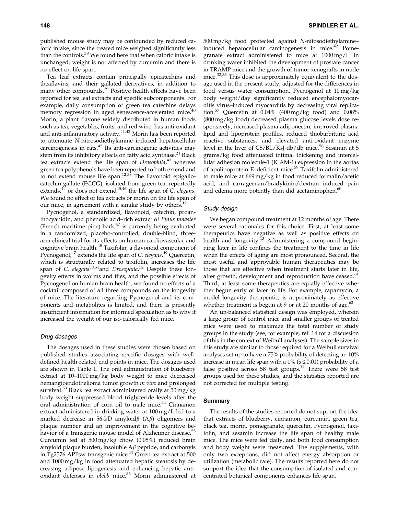published mouse study may be confounded by reduced caloric intake, since the treated mice weighed significantly less than the controls.<sup>38</sup> We found here that when caloric intake is unchanged, weight is not affected by curcumin and there is no effect on life span.

Tea leaf extracts contain principally epicatechins and theaflavins, and their gallated derivatives, in addition to many other compounds.<sup>39</sup> Positive health effects have been reported for tea leaf extracts and specific subcomponents. For example, daily consumption of green tea catechins delays memory regression in aged senescence-accelerated mice.<sup>40</sup> Morin, a plant flavone widely distributed in human foods such as tea, vegetables, fruits, and red wine, has anti-oxidant and anti-inflammatory activity.41,42 Morin has been reported to attenuate N-nitrosodiethylamine–induced hepatocellular carcinogenesis in rats.<sup>42</sup> Its anti-carcinogenic activities may stem from its inhibitory effects on fatty acid synthase.<sup>21</sup> Black tea extracts extend the life span of Drosophila,<sup>43</sup> whereas green tea polyphenols have been reported to both extend and to not extend mouse life span.<sup>12,38</sup> The flavonoid epigallocatechin gallate (EGCG), isolated from green tea, reportedly extends, $44$  or does not extend $45,46$  the life span of C. elegans. We found no effect of tea extracts or morin on the life span of our mice, in agreement with a similar study by others.<sup>12</sup>

Pycnogenol, a standardized, flavonoid, catechin, proanthocyanidin, and phenolic acid–rich extract of Pinus pinaster (French maritime pine) bark, $47$  is currently being evaluated in a randomized, placebo-controlled, double-blind, threearm clinical trial for its effects on human cardiovascular and cognitive brain health.<sup>48</sup> Taxifolin, a flavonoid component of Pycnogenol,<sup>47</sup> extends the life span of C. elegans.<sup>49</sup> Quercetin, which is structurally related to taxifolin, increases the life span of C. elegans<sup>50,51</sup>and Drosophila.<sup>52</sup> Despite these longevity effects in worms and flies, and the possible effects of Pycnogenol on human brain health, we found no effects of a cocktail composed of all three compounds on the longevity of mice. The literature regarding Pycnogenol and its components and metabolites is limited, and there is presently insufficient information for informed speculation as to why it increased the weight of our iso-calorically fed mice.

#### Drug dosages

The dosages used in these studies were chosen based on published studies associating specific dosages with welldefined health-related end points in mice. The dosages used are shown in Table 1. The oral administration of blueberry extract at 10–1000 mg/kg body weight to mice decreased hemangioendothelioma tumor growth in vivo and prolonged survival.<sup>53</sup> Black tea extract administered orally at 50 mg/kg body weight suppressed blood triglyceride levels after the oral administration of corn oil to male mice.<sup>54</sup> Cinnamon extract administered in drinking water at 100 mg/L led to a marked decrease in 56-kD amyloid $\beta$  (A $\beta$ ) oligomers and plaque number and an improvement in the cognitive behavior of a transgenic mouse model of Alzheimer disease.<sup>55</sup> Curcumin fed at 500 mg/kg chow (0.05%) reduced brain amyloid plaque burden, insoluble  $A\beta$  peptide, and carbonyls in Tg2576 APPsw transgenic mice.<sup>11</sup> Green tea extract at 500 and 1000 mg/kg in food attenuated hepatic steatosis by decreasing adipose lipogenesis and enhancing hepatic antioxidant defenses in  $ob/ob$  mice.<sup>56</sup> Morin administered at 500 mg/kg food protected against N-nitosodiethylamine– induced hepatocellular carcinogenesis in mice. $42$  Pomegranate extract administered to mice at 1000 mg/L in drinking water inhibited the development of prostate cancer in TRAMP mice and the growth of tumor xenografts in nude mice.<sup>32,33</sup> This dose is approximately equivalent to the dosage used in the present study, adjusted for the differences in food versus water consumption. Pycnogenol at 10 mg/kg body weight/day significantly reduced encephalomyocarditis virus–induced myocarditis by decreasing viral replication.<sup>57</sup> Quercetin at  $0.04\%$  (400 mg/kg food) and  $0.08\%$ (800 mg/kg food) decreased plasma glucose levels dose responsively, increased plasma adiponectin, improved plasma lipid and lipoprotein profiles, reduced thiobarbituric acid reactive substances, and elevated anti-oxidant enzyme level in the liver of C57BL/KsJ-db/db mice.<sup>58</sup> Sesamin at 5 grams/kg food attenuated intimal thickening and intercellular adhesion molecule-1 (ICAM-1) expression in the aortas of apolipoprotein E-deficient mice.<sup>59</sup> Taxifolin administered to male mice at 669 mg/kg in food reduced formalin/acetic acid, and carrageenan/bradykinin/dextran induced pain and edema more potently than did acetaminophen.<sup>60</sup>

#### Study design

We began compound treatment at 12 months of age. There were several rationales for this choice. First, at least some therapeutics have negative as well as positive effects on health and longevity.<sup>13</sup> Administering a compound beginning later in life confines the treatment to the time in life when the effects of aging are most pronounced. Second, the most useful and approvable human therapeutics may be those that are effective when treatment starts later in life, after growth, development and reproduction have ceased.<sup>61</sup> Third, at least some therapeutics are equally effective whether begun early or later in life. For example, rapamycin, a model longevity therapeutic, is approximately as effective whether treatment is begun at 9 or at 20 months of age. $62$ 

An un-balanced statistical design was employed, wherein a large group of control mice and smaller groups of treated mice were used to maximize the total number of study groups in the study (see, for example, ref. 14 for a discussion of this in the context of Weibull analyses). The sample sizes in this study are similar to those required for a Weibull survival analyses set up to have a 75% probability of detecting an 10% increase in mean life span with a  $1\%$  ( $\alpha \le 0.01$ ) probability of a false positive across 58 test groups.<sup>14</sup> There were 58 test groups used for these studies, and the statistics reported are not corrected for multiple testing.

# Summary

The results of the studies reported do not support the idea that extracts of blueberry, cinnamon, curcumin, green tea, black tea, morin, pomegranate, quercetin, Pycnogenol, taxifolin, and sesamin increase the life span of healthy male mice. The mice were fed daily, and both food consumption and body weight were measured. The supplements, with only two exceptions, did not affect energy absorption or utilization (metabolic rate). The results reported here do not support the idea that the consumption of isolated and concentrated botanical components enhances life span.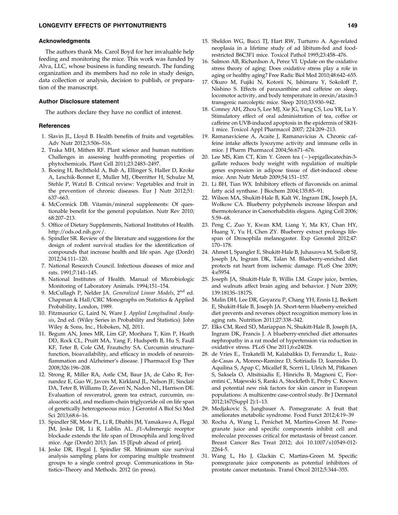#### Acknowledgments

The authors thank Ms. Carol Boyd for her invaluable help feeding and monitoring the mice. This work was funded by Alva, LLC, whose business is funding research. The funding organization and its members had no role in study design, data collection or analysis, decision to publish, or preparation of the manuscript.

# Author Disclosure statement

The authors declare they have no conflict of interest.

#### **References**

- 1. Slavin JL, Lloyd B. Health benefits of fruits and vegetables. Adv Nutr 2012;3:506–516.
- 2. Traka MH, Mithen RF. Plant science and human nutrition: Challenges in assessing health-promoting properties of phytochemicals. Plant Cell 2011;23:2483–2497.
- 3. Boeing H, Bechthold A, Bub A, Ellinger S, Haller D, Kroke A, Leschik-Bonnet E, Muller MJ, Oberritter H, Schulze M, Stehle P, Watzl B. Critical review: Vegetables and fruit in the prevention of chronic diseases. Eur J Nutr 2012;51: 637–663.
- 4. McCormick DB. Vitamin/mineral supplements: Of questionable benefit for the general population. Nutr Rev 2010; 68:207–213.
- 5. Office of Dietary Supplements, National Institutes of Health. http://ods.od.nih.gov/.
- 6. Spindler SR. Review of the literature and suggestions for the design of rodent survival studies for the identification of compounds that increase health and life span. Age (Dordr) 2012;34:111–120.
- 7. National Research Council. Infectious diseases of mice and rats. 1991;7:141–145.
- 8. National Institutes of Health. Manual of Microbiologic Monitoring of Laboratory Animals. 1994;151–154.
- 9. McCullagh P, Nelder JA. Generalized Linear Models, 2<sup>nd</sup> ed. Chapman & Hall/CRC Monographs on Statistics & Applied Probability, London, 1989.
- 10. Fitzmaurice G, Laird N, Ware J. Applied Longitudinal Analysis, 2nd ed. (Wiley Series in Probability and Statistics). John Wiley & Sons, Inc., Hoboken, NJ, 2011.
- 11. Begum AN, Jones MR, Lim GP, Morihara T, Kim P, Heath DD, Rock CL, Pruitt MA, Yang F, Hudspeth B, Hu S, Faull KF, Teter B, Cole GM, Frautschy SA. Curcumin structurefunction, bioavailability, and efficacy in models of neuroinflammation and Alzheimer's disease. J Pharmacol Exp Ther 2008;326:196–208.
- 12. Strong R, Miller RA, Astle CM, Baur JA, de Cabo R, Fernandez E, Guo W, Javors M, Kirkland JL, Nelson JF, Sinclair DA, Teter B, Williams D, Zaveri N, Nadon NL, Harrison DE. Evaluation of resveratrol, green tea extract, curcumin, oxaloacetic acid, and medium-chain triglyceride oil on life span of genetically heterogeneous mice. J Gerontol A Biol Sci Med Sci 2013;68:6–16.
- 13. Spindler SR, Mote PL, Li R, Dhahbi JM, Yamakawa A, Flegal JM, Jeske DR, Li R, Lublin AL.  $\beta$ 1-Adrenergic receptor blockade extends the life span of Drosophila and long-lived mice. Age (Dordr) 2013; Jan. 15 [Epub ahead of print].
- 14. Jeske DR, Flegal J, Spindler SR. Minimum size survival analysis sampling plans for comparing multiple treatment groups to a single control group. Communications in Statistics–Theory and Methods. 2012 (in press).
- 15. Sheldon WG, Bucci TJ, Hart RW, Turturro A. Age-related neoplasia in a lifetime study of ad libitum-fed and foodrestricted B6C3F1 mice. Toxicol Pathol 1995;23:458–476.
- 16. Salmon AB, Richardson A, Perez VI. Update on the oxidative stress theory of aging: Does oxidative stress play a role in aging or healthy aging? Free Radic Biol Med 2010;48:642–655.
- 17. Okuro M, Fujiki N, Kotorii N, Ishimaru Y, Sokoloff P, Nishino S. Effects of paraxanthine and caffeine on sleep, locomotor activity, and body temperature in orexin/ataxin-3 transgenic narcoleptic mice. Sleep 2010;33:930–942.
- 18. Conney AH, Zhou S, Lee MJ, Xie JG, Yang CS, Lou YR, Lu Y. Stimulatory effect of oral administration of tea, coffee or caffeine on UVB-induced apoptosis in the epidermis of SKH-1 mice. Toxicol Appl Pharmacol 2007; 224:209–213.
- 19. Ramanaviciene A, Acaite J, Ramanavicius A. Chronic caffeine intake affects lysozyme activity and immune cells in mice. J Pharm Pharmacol 2004;56:671–676.
- 20. Lee MS, Kim CT, Kim Y. Green tea (-)-epigallocatechin-3gallate reduces body weight with regulation of multiple genes expression in adipose tissue of diet-induced obese mice. Ann Nutr Metab 2009;54:151–157.
- 21. Li BH, Tian WX. Inhibitory effects of flavonoids on animal fatty acid synthase. J Biochem 2004;135:85–91.
- 22. Wilson MA, Shukitt-Hale B, Kalt W, Ingram DK, Joseph JA, Wolkow CA. Blueberry polyphenols increase lifespan and thermotolerance in Caenorhabditis elegans. Aging Cell 2006; 5:59–68.
- 23. Peng C, Zuo Y, Kwan KM, Liang Y, Ma KY, Chan HY, Huang Y, Yu H, Chen ZY. Blueberry extract prolongs lifespan of Drosophila melanogaster. Exp Gerontol 2012;47: 170–178.
- 24. Ahmet I, Spangler E, Shukitt-Hale B, Juhaszova M, Sollott SJ, Joseph JA, Ingram DK, Talan M. Blueberry-enriched diet protects rat heart from ischemic damage. PLoS One 2009; 4:e5954.
- 25. Joseph JA, Shukitt-Hale B, Willis LM. Grape juice, berries, and walnuts affect brain aging and behavior. J Nutr 2009; 139:1813S–1817S.
- 26. Malin DH, Lee DR, Goyarzu P, Chang YH, Ennis LJ, Beckett E, Shukitt-Hale B, Joseph JA. Short-term blueberry-enriched diet prevents and reverses object recognition memory loss in aging rats. Nutrition 2011;27:338–342.
- 27. Elks CM, Reed SD, Mariappan N, Shukitt-Hale B, Joseph JA, Ingram DK, Francis J. A blueberry-enriched diet attenuates nephropathy in a rat model of hypertension via reduction in oxidative stress. PLoS One 2011;6:e24028.
- 28. de Vries E., Trakatelli M, Kalabalikis D, Ferrandiz L, Ruizde-Casas A, Moreno-Ramirez D, Sotiriadis D, Ioannides D, Aquilina S, Apap C, Micallef R, Scerri L, Ulrich M, Pitkanen S, Saksela O, Altsitsiadis E, Hinrichs B, Magnoni C, Fiorentini C, Majewski S, Ranki A, Stockfleth E, Proby C. Known and potential new risk factors for skin cancer in European populations: A multicentre case-control study. Br J Dermatol 2012;167(Suppl 2):1–13.
- 29. Medjakovic S, Jungbauer A. Pomegranate: A fruit that ameliorates metabolic syndrome. Food Funct 2012;4:19–39
- 30. Rocha A, Wang L, Penichet M, Martins-Green M. Pomegranate juice and specific components inhibit cell and molecular processes critical for metastasis of breast cancer. Breast Cancer Res Treat 2012; doi 10.1007/s10549-012- 2264-5.
- 31. Wang L, Ho J, Glackin C, Martins-Green M. Specific pomegranate juice components as potential inhibitors of prostate cancer metastasis. Transl Oncol 2012;5:344–355.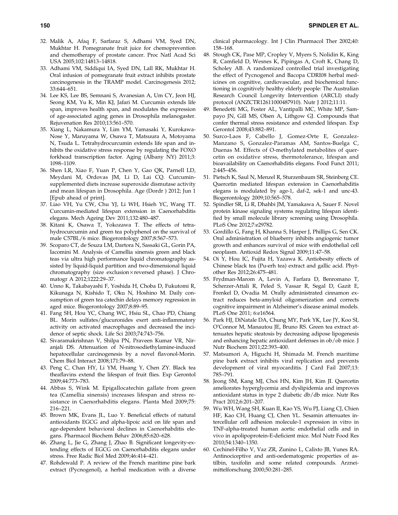- 32. Malik A, Afaq F, Sarfaraz S, Adhami VM, Syed DN, Mukhtar H. Pomegranate fruit juice for chemoprevention and chemotherapy of prostate cancer. Proc Natl Acad Sci USA 2005;102:14813–14818.
- 33. Adhami VM, Siddiqui IA, Syed DN, Lall RK, Mukhtar H. Oral infusion of pomegranate fruit extract inhibits prostate carcinogenesis in the TRAMP model. Carcinogenesis 2012; 33:644–651.
- 34. Lee KS, Lee BS, Semnani S, Avanesian A, Um CY, Jeon HJ, Seong KM, Yu K, Min KJ, Jafari M. Curcumin extends life span, improves health span, and modulates the expression of age-associated aging genes in Drosophila melanogaster. Rejuvenation Res 2010;13:561–570.
- 35. Xiang L, Nakamura Y, Lim YM, Yamasaki Y, Kurokawa-Nose Y, Maruyama W, Osawa T, Matsuura A, Motoyama N, Tsuda L. Tetrahydrocurcumin extends life span and inhibits the oxidative stress response by regulating the FOXO forkhead transcription factor. Aging (Albany NY) 2011;3: 1098–1109.
- 36. Shen LR, Xiao F, Yuan P, Chen Y, Gao QK, Parnell LD, Meydani M, Ordovas JM, Li D, Lai CQ. Curcuminsupplemented diets increase superoxide dismutase activity and mean lifespan in Drosophila. Age (Dordr ) 2012; Jun 1 [Epub ahead of print].
- 37. Liao VH, Yu CW, Chu YJ, Li WH, Hsieh YC, Wang TT. Curcumin-mediated lifespan extension in Caenorhabditis elegans. Mech Ageing Dev 2011;132:480–487.
- 38. Kitani K, Osawa T, Yokozawa T. The effects of tetrahydrocurcumin and green tea polyphenol on the survival of male C57BL/6 mice. Biogerontology 2007;8:567–573.
- 39. Scoparo CT, de Souza LM, Dartora N, Sassaki GL, Gorin PA, Iacomini M. Analysis of Camellia sinensis green and black teas via ultra high performance liquid chromatography assisted by liquid-liquid partition and two-dimensional liquid chromatography (size exclusion×reversed phase). J Chromatogr A 2012;1222:29–37.
- 40. Unno K, Takabayashi F, Yoshida H, Choba D, Fukutomi R, Kikunaga N, Kishido T, Oku N, Hoshino M. Daily consumption of green tea catechin delays memory regression in aged mice. Biogerontology 2007;8:89–95.
- 41. Fang SH, Hou YC, Chang WC, Hsiu SL, Chao PD, Chiang BL. Morin sulfates/glucuronides exert anti-inflammatory activity on activated macrophages and decreased the incidence of septic shock. Life Sci 2003;74:743–756.
- 42. Sivaramakrishnan V, Shilpa PN, Praveen Kumar VR, Niranjali DS. Attenuation of N-nitrosodiethylamine-induced hepatocellular carcinogenesis by a novel flavonol-Morin. Chem Biol Interact 2008;171:79–88.
- 43. Peng C, Chan HY, Li YM, Huang Y, Chen ZY. Black tea theaflavins extend the lifespan of fruit flies. Exp Gerontol 2009;44:773–783.
- 44. Abbas S, Wink M. Epigallocatechin gallate from green tea (Camellia sinensis) increases lifespan and stress resistance in Caenorhabditis elegans. Planta Med 2009;75: 216–221.
- 45. Brown MK, Evans JL, Luo Y. Beneficial effects of natural antioxidants EGCG and alpha-lipoic acid on life span and age-dependent behavioral declines in Caenorhabditis elegans. Pharmacol Biochem Behav 2006;85:620–628.
- 46. Zhang L, Jie G, Zhang J, Zhao B. Significant longevity-extending effects of EGCG on Caenorhabditis elegans under stress. Free Radic Biol Med 2009;46:414–421.
- 47. Rohdewald P. A review of the French maritime pine bark extract (Pycnogenol), a herbal medication with a diverse

clinical pharmacology. Int J Clin Pharmacol Ther 2002;40: 158–168.

- 48. Stough CK, Pase MP, Cropley V, Myers S, Nolidin K, King R, Camfield D, Wesnes K, Pipingas A, Croft K, Chang D, Scholey AB. A randomized controlled trial investigating the effect of Pycnogenol and Bacopa CDRI08 herbal medicines on cognitive, cardiovascular, and biochemical functioning in cognitively healthy elderly people: The Australian Research Council Longevity Intervention (ARCLI) study protocol (ANZCTR12611000487910). Nutr J 2012;11:11.
- 49. Benedetti MG, Foster AL, Vantipalli MC, White MP, Sampayo JN, Gill MS, Olsen A, Lithgow GJ. Compounds that confer thermal stress resistance and extended lifespan. Exp Gerontol 2008;43:882–891.
- 50. Surco-Laos F, Cabello J, Gomez-Orte E, Gonzalez-Manzano S, Gonzalez-Paramas AM, Santos-Buelga C, Duenas M. Effects of O-methylated metabolites of quercetin on oxidative stress, thermotolerance, lifespan and bioavailability on Caenorhabditis elegans. Food Funct 2011; 2:445–456.
- 51. Pietsch K, Saul N, Menzel R, Sturzenbaum SR, Steinberg CE. Quercetin mediated lifespan extension in Caenorhabditis elegans is modulated by age-1, daf-2, sek-1 and unc-43. Biogerontology 2009;10:565–578.
- 52. Spindler SR, Li R, Dhahbi JM, Yamakawa A, Sauer F. Novel protein kinase signaling systems regulating lifespan identified by small molecule library screening using Drosophila. PLoS One 2012;7:e29782.
- 53. Gordillo G, Fang H, Khanna S, Harper J, Phillips G, Sen CK. Oral administration of blueberry inhibits angiogenic tumor growth and enhances survival of mice with endothelial cell neoplasm. Antioxid Redox Signal 2009;11:47–58.
- 54. Oi Y, Hou IC, Fujita H, Yazawa K. Antiobesity effects of Chinese black tea (Pu-erh tea) extract and gallic acid. Phytother Res 2012;26:475–481.
- 55. Frydman-Marom A, Levin A, Farfara D, Benromano T, Scherzer-Attali R, Peled S, Vassar R, Segal D, Gazit E, Frenkel D, Ovadia M. Orally administrated cinnamon extract reduces beta-amyloid oligomerization and corrects cognitive impairment in Alzheimer's disease animal models. PLoS One 2011; 6:e16564.
- 56. Park HJ, DiNatale DA, Chung MY, Park YK, Lee JY, Koo SI, O'Connor M, Manautou JE, Bruno RS. Green tea extract attenuates hepatic steatosis by decreasing adipose lipogenesis and enhancing hepatic antioxidant defenses in ob/ob mice. J Nutr Biochem 2011;22:393–400.
- 57. Matsumori A, Higuchi H, Shimada M. French maritime pine bark extract inhibits viral replication and prevents development of viral myocarditis. J Card Fail 2007;13: 785–791.
- 58. Jeong SM, Kang MJ, Choi HN, Kim JH, Kim JI. Quercetin ameliorates hyperglycemia and dyslipidemia and improves antioxidant status in type 2 diabetic db/db mice. Nutr Res Pract 2012;6:201–207.
- 59. Wu WH, Wang SH, Kuan II, Kao YS, Wu PJ, Liang CJ, Chien HF, Kao CH, Huang CJ, Chen YL. Sesamin attenuates intercellular cell adhesion molecule-1 expression in vitro in TNF-alpha-treated human aortic endothelial cells and in vivo in apolipoprotein-E-deficient mice. Mol Nutr Food Res 2010;54:1340–1350.
- 60. Cechinel-Filho V, Vaz ZR, Zunino L, Calixto JB, Yunes RA. Antinociceptive and anti-oedematogenic properties of astilbin, taxifolin and some related compounds. Arzneimittelforschung 2000;50:281–285.